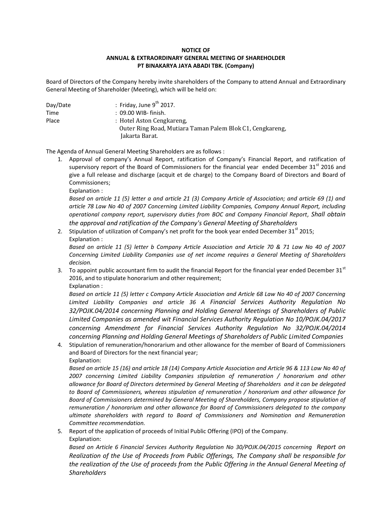## **NOTICE OF ANNUAL & EXTRAORDINARY GENERAL MEETING OF SHAREHOLDER PT BINAKARYA JAYA ABADI TBK. (Company)**

Board of Directors of the Company hereby invite shareholders of the Company to attend Annual and Extraordinary General Meeting of Shareholder (Meeting), which will be held on:

| Day/Date | : Friday, June $9^{th}$ 2017.                             |
|----------|-----------------------------------------------------------|
| Time     | : 09.00 WIB- finish.                                      |
| Place    | : Hotel Aston Cengkareng,                                 |
|          | Outer Ring Road, Mutiara Taman Palem Blok C1, Cengkareng, |
|          | Jakarta Barat.                                            |

The Agenda of Annual General Meeting Shareholders are as follows :

- 1. Approval of company's Annual Report, ratification of Company's Financial Report, and ratification of supervisory report of the Board of Commissioners for the financial year ended December  $31<sup>st</sup>$  2016 and give a full release and discharge (acquit et de charge) to the Company Board of Directors and Board of Commissioners;
	- Explanation :

*Based on article 11 (5) letter a and article 21 (3) Company Article of Association; and article 69 (1) and article 78 Law No 40 of 2007 Concerning Limited Liability Companies, Company Annual Report, including operational company report, supervisory duties from BOC and Company Financial Report, Shall obtain the approval and ratification of the Company's General Meeting of Shareholders*

2. Stipulation of utilization of Company's net profit for the book year ended December  $31^{st}$  2015; Explanation :

*Based on article 11 (5) letter b Company Article Association and Article 70 & 71 Law No 40 of 2007 Concerning Limited Liability Companies use of net income requires a General Meeting of Shareholders decision.*

3. To appoint public accountant firm to audit the financial Report for the financial year ended December 31<sup>st</sup> 2016, and to stipulate honorarium and other requirement; Explanation :

*Based on article 11 (5) letter c Company Article Association and Article 68 Law No 40 of 2007 Concerning Limited Liability Companies and article 36 A Financial Services Authority Regulation No 32/POJK.04/2014 concerning Planning and Holding General Meetings of Shareholders of Public Limited Companies as amended wit Financial Services Authority Regulation No 10/POJK.04/2017 concerning Amendment for Financial Services Authority Regulation No 32/POJK.04/2014 concerning Planning and Holding General Meetings of Shareholders of Public Limited Companies*

4. Stipulation of remuneration/honorarium and other allowance for the member of Board of Commissioners and Board of Directors for the next financial year;

Explanation:

*Based on article 15 (16) and article 18 (14) Company Article Association and Article 96 & 113 Law No 40 of 2007 concerning Limited Liability Companies stipulation of remuneration / honorarium and other allowance for Board of Directors determined by General Meeting of Shareholders and it can be delegated to Board of Commissioners, whereas stipulation of remuneration / honorarium and other allowance for Board of Commissioners determined by General Meeting of Shareholders, Company propose stipulation of remuneration / honorarium and other allowance for Board of Commissioners delegated to the company ultimate shareholders with regard to Board of Commissioners and Nomination and Remuneration Committee recommendation.* 

5. Report of the application of proceeds of Initial Public Offering (IPO) of the Company. Explanation:

Based on Article 6 Financial Services Authority Regulation No 30/POJK.04/2015 concerning Report on *Realization of the Use of Proceeds from Public Offerings, The Company shall be responsible for the realization of the Use of proceeds from the Public Offering in the Annual General Meeting of Shareholders*